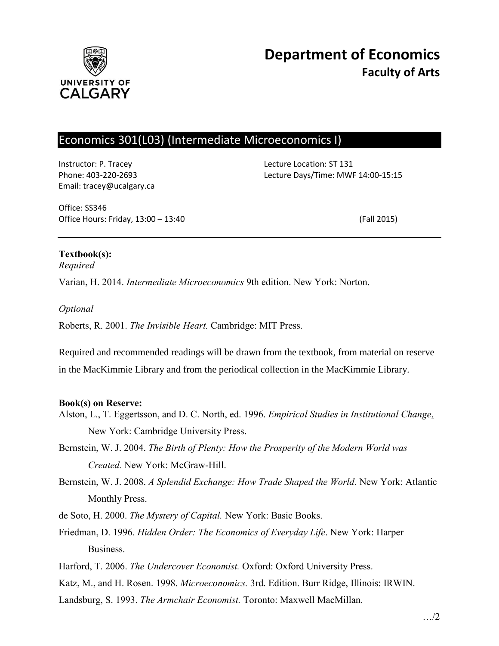

# Economics 301(L03) (Intermediate Microeconomics I)

Instructor: P. Tracey Lecture Location: ST 131 Email: tracey@ucalgary.ca

Phone: 403-220-2693 Lecture Days/Time: MWF 14:00-15:15

Office: SS346 Office Hours: Friday, 13:00 – 13:40 (Fall 2015)

## **Textbook(s):**

*Required*

Varian, H. 2014. *Intermediate Microeconomics* 9th edition. New York: Norton.

### *Optional*

Roberts, R. 2001. *The Invisible Heart.* Cambridge: MIT Press.

Required and recommended readings will be drawn from the textbook, from material on reserve in the MacKimmie Library and from the periodical collection in the MacKimmie Library.

### **Book(s) on Reserve:**

- Alston, L., T. Eggertsson, and D. C. North, ed. 1996. *Empirical Studies in Institutional Change*. New York: Cambridge University Press.
- Bernstein, W. J. 2004. *The Birth of Plenty: How the Prosperity of the Modern World was Created.* New York: McGraw-Hill.
- Bernstein, W. J. 2008. *A Splendid Exchange: How Trade Shaped the World.* New York: Atlantic Monthly Press.
- de Soto, H. 2000. *The Mystery of Capital.* New York: Basic Books.
- Friedman, D. 1996. *Hidden Order: The Economics of Everyday Life*. New York: Harper **Business**
- Harford, T. 2006. *The Undercover Economist.* Oxford: Oxford University Press.
- Katz, M., and H. Rosen. 1998. *Microeconomics.* 3rd. Edition. Burr Ridge, Illinois: IRWIN.

Landsburg, S. 1993. *The Armchair Economist.* Toronto: Maxwell MacMillan.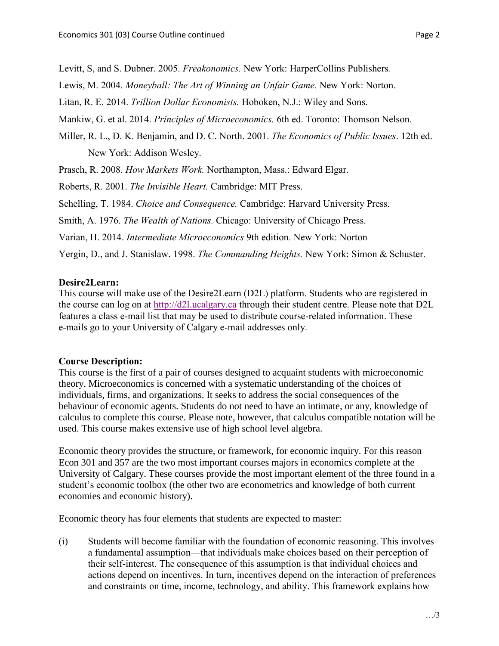Levitt, S, and S. Dubner. 2005. *Freakonomics.* New York: HarperCollins Publishers*.*

Lewis, M. 2004. *Moneyball: The Art of Winning an Unfair Game.* New York: Norton.

Litan, R. E. 2014. *Trillion Dollar Economists.* Hoboken, N.J.: Wiley and Sons.

Mankiw, G. et al. 2014. *Principles of Microeconomics.* 6th ed. Toronto: Thomson Nelson.

Miller, R. L., D. K. Benjamin, and D. C. North. 2001. *The Economics of Public Issues*. 12th ed. New York: Addison Wesley.

Prasch, R. 2008. *How Markets Work.* Northampton, Mass.: Edward Elgar.

Roberts, R. 2001. *The Invisible Heart.* Cambridge: MIT Press.

Schelling, T. 1984. *Choice and Consequence.* Cambridge: Harvard University Press.

Smith, A. 1976. *The Wealth of Nations.* Chicago: University of Chicago Press.

Varian, H. 2014. *Intermediate Microeconomics* 9th edition. New York: Norton

Yergin, D., and J. Stanislaw. 1998. *The Commanding Heights.* New York: Simon & Schuster.

### **Desire2Learn:**

This course will make use of the Desire2Learn (D2L) platform. Students who are registered in the course can log on at [http://d2l.ucalgary.ca](http://d2l.ucalgary.ca/) through their student centre. Please note that D2L features a class e-mail list that may be used to distribute course-related information. These e-mails go to your University of Calgary e-mail addresses only.

### **Course Description:**

This course is the first of a pair of courses designed to acquaint students with microeconomic theory. Microeconomics is concerned with a systematic understanding of the choices of individuals, firms, and organizations. It seeks to address the social consequences of the behaviour of economic agents. Students do not need to have an intimate, or any, knowledge of calculus to complete this course. Please note, however, that calculus compatible notation will be used. This course makes extensive use of high school level algebra.

Economic theory provides the structure, or framework, for economic inquiry. For this reason Econ 301 and 357 are the two most important courses majors in economics complete at the University of Calgary. These courses provide the most important element of the three found in a student's economic toolbox (the other two are econometrics and knowledge of both current economies and economic history).

Economic theory has four elements that students are expected to master:

(i) Students will become familiar with the foundation of economic reasoning. This involves a fundamental assumption—that individuals make choices based on their perception of their self-interest. The consequence of this assumption is that individual choices and actions depend on incentives. In turn, incentives depend on the interaction of preferences and constraints on time, income, technology, and ability. This framework explains how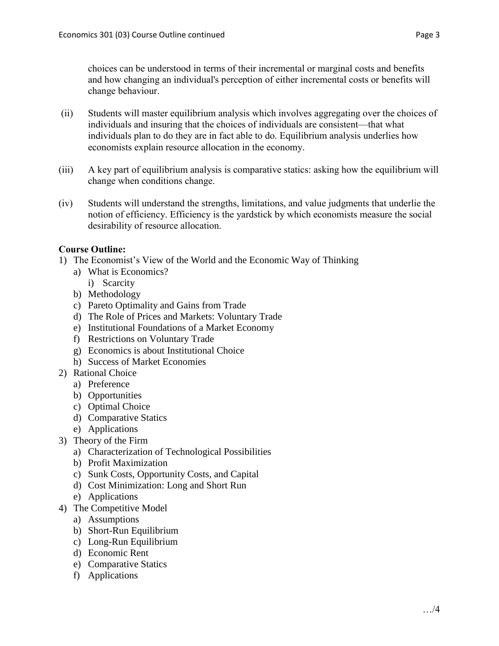choices can be understood in terms of their incremental or marginal costs and benefits and how changing an individual's perception of either incremental costs or benefits will change behaviour.

- (ii) Students will master equilibrium analysis which involves aggregating over the choices of individuals and insuring that the choices of individuals are consistent—that what individuals plan to do they are in fact able to do. Equilibrium analysis underlies how economists explain resource allocation in the economy.
- (iii) A key part of equilibrium analysis is comparative statics: asking how the equilibrium will change when conditions change.
- (iv) Students will understand the strengths, limitations, and value judgments that underlie the notion of efficiency. Efficiency is the yardstick by which economists measure the social desirability of resource allocation.

## **Course Outline:**

- 1) The Economist's View of the World and the Economic Way of Thinking
	- a) What is Economics?
		- i) Scarcity
	- b) Methodology
	- c) Pareto Optimality and Gains from Trade
	- d) The Role of Prices and Markets: Voluntary Trade
	- e) Institutional Foundations of a Market Economy
	- f) Restrictions on Voluntary Trade
	- g) Economics is about Institutional Choice
	- h) Success of Market Economies
- 2) Rational Choice
	- a) Preference
	- b) Opportunities
	- c) Optimal Choice
	- d) Comparative Statics
	- e) Applications
- 3) Theory of the Firm
	- a) Characterization of Technological Possibilities
	- b) Profit Maximization
	- c) Sunk Costs, Opportunity Costs, and Capital
	- d) Cost Minimization: Long and Short Run
	- e) Applications
- 4) The Competitive Model
	- a) Assumptions
	- b) Short-Run Equilibrium
	- c) Long-Run Equilibrium
	- d) Economic Rent
	- e) Comparative Statics
	- f) Applications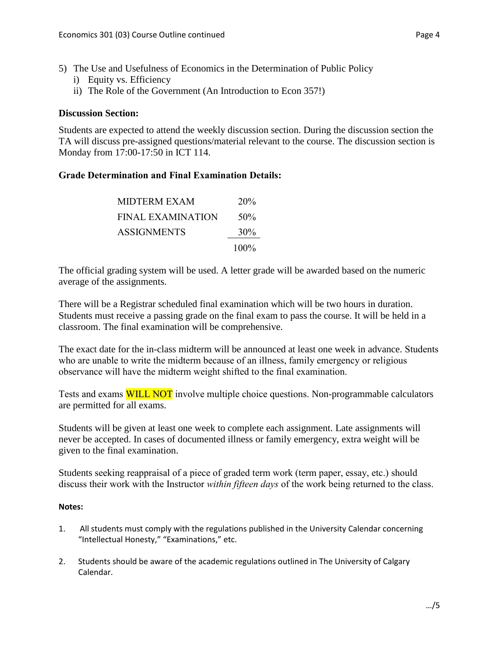- 5) The Use and Usefulness of Economics in the Determination of Public Policy
	- i) Equity vs. Efficiency
	- ii) The Role of the Government (An Introduction to Econ 357!)

## **Discussion Section:**

Students are expected to attend the weekly discussion section. During the discussion section the TA will discuss pre-assigned questions/material relevant to the course. The discussion section is Monday from 17:00-17:50 in ICT 114.

## **Grade Determination and Final Examination Details:**

| MIDTERM EXAM             | 20%     |
|--------------------------|---------|
| <b>FINAL EXAMINATION</b> | 50%     |
| <b>ASSIGNMENTS</b>       | $30\%$  |
|                          | $100\%$ |

The official grading system will be used. A letter grade will be awarded based on the numeric average of the assignments.

There will be a Registrar scheduled final examination which will be two hours in duration. Students must receive a passing grade on the final exam to pass the course. It will be held in a classroom. The final examination will be comprehensive.

The exact date for the in-class midterm will be announced at least one week in advance. Students who are unable to write the midterm because of an illness, family emergency or religious observance will have the midterm weight shifted to the final examination.

Tests and exams **WILL NOT** involve multiple choice questions. Non-programmable calculators are permitted for all exams.

Students will be given at least one week to complete each assignment. Late assignments will never be accepted. In cases of documented illness or family emergency, extra weight will be given to the final examination.

Students seeking reappraisal of a piece of graded term work (term paper, essay, etc.) should discuss their work with the Instructor *within fifteen days* of the work being returned to the class.

## **Notes:**

- 1. All students must comply with the regulations published in the University Calendar concerning "Intellectual Honesty," "Examinations," etc.
- 2. Students should be aware of the academic regulations outlined in The University of Calgary Calendar.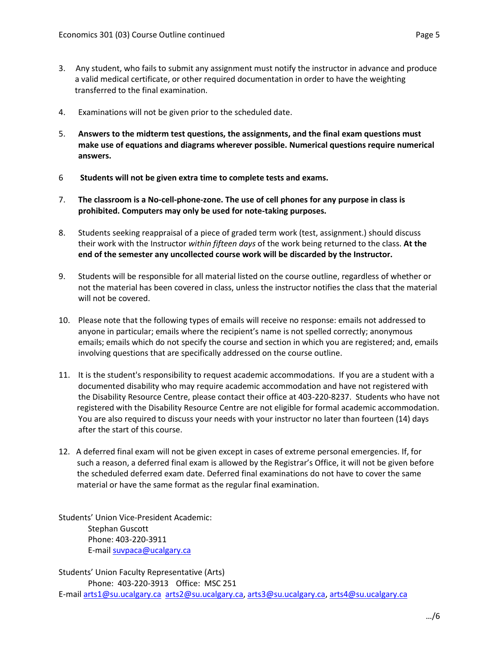- 3. Any student, who fails to submit any assignment must notify the instructor in advance and produce a valid medical certificate, or other required documentation in order to have the weighting transferred to the final examination.
- 4. Examinations will not be given prior to the scheduled date.
- 5. **Answers to the midterm test questions, the assignments, and the final exam questions must make use of equations and diagrams wherever possible. Numerical questions require numerical answers.**
- 6 **Students will not be given extra time to complete tests and exams.**
- 7. **The classroom is a No-cell-phone-zone. The use of cell phones for any purpose in class is prohibited. Computers may only be used for note-taking purposes.**
- 8. Students seeking reappraisal of a piece of graded term work (test, assignment.) should discuss their work with the Instructor *within fifteen days* of the work being returned to the class. **At the end of the semester any uncollected course work will be discarded by the Instructor.**
- 9. Students will be responsible for all material listed on the course outline, regardless of whether or not the material has been covered in class, unless the instructor notifies the class that the material will not be covered.
- 10. Please note that the following types of emails will receive no response: emails not addressed to anyone in particular; emails where the recipient's name is not spelled correctly; anonymous emails; emails which do not specify the course and section in which you are registered; and, emails involving questions that are specifically addressed on the course outline.
- 11. It is the student's responsibility to request academic accommodations. If you are a student with a documented disability who may require academic accommodation and have not registered with the Disability Resource Centre, please contact their office at 403-220-8237. Students who have not registered with the Disability Resource Centre are not eligible for formal academic accommodation. You are also required to discuss your needs with your instructor no later than fourteen (14) days after the start of this course.
- 12. A deferred final exam will not be given except in cases of extreme personal emergencies. If, for such a reason, a deferred final exam is allowed by the Registrar's Office, it will not be given before the scheduled deferred exam date. Deferred final examinations do not have to cover the same material or have the same format as the regular final examination.

Students' Union Vice-President Academic: Stephan Guscott Phone: 403-220-3911 E-mai[l suvpaca@ucalgary.ca](mailto:subpaca@ucalgary.ca)

Students' Union Faculty Representative (Arts) Phone: 403-220-3913 Office: MSC 251 E-mai[l arts1@su.ucalgary.ca](mailto:arts1@su.ucalgary.ca) [arts2@su.ucalgary.ca,](mailto:arts2@su.ucalgary.ca) [arts3@su.ucalgary.ca,](mailto:arts3@su.ucalgary.ca) [arts4@su.ucalgary.ca](mailto:arts4@su.ucalgary.ca)